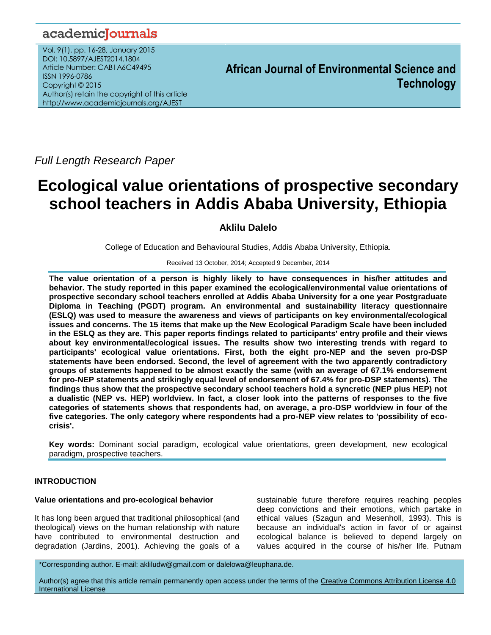# academicJournals

Vol. 9(1), pp. 16-28, January 2015 DOI: 10.5897/AJEST2014.1804 Article Number: CAB1A6C49495 ISSN 1996-0786 Copyright © 2015 Author(s) retain the copyright of this article http://www.academicjournals.org/AJEST

**African Journal of Environmental Science and Technology**

*Full Length Research Paper*

# **Ecological value orientations of prospective secondary school teachers in Addis Ababa University, Ethiopia**

# **Aklilu Dalelo**

College of Education and Behavioural Studies, Addis Ababa University, Ethiopia.

Received 13 October, 2014; Accepted 9 December, 2014

**The value orientation of a person is highly likely to have consequences in his/her attitudes and behavior. The study reported in this paper examined the ecological/environmental value orientations of prospective secondary school teachers enrolled at Addis Ababa University for a one year Postgraduate Diploma in Teaching (PGDT) program. An environmental and sustainability literacy questionnaire (ESLQ) was used to measure the awareness and views of participants on key environmental/ecological issues and concerns. The 15 items that make up the New Ecological Paradigm Scale have been included in the ESLQ as they are. This paper reports findings related to participants' entry profile and their views about key environmental/ecological issues. The results show two interesting trends with regard to participants' ecological value orientations. First, both the eight pro-NEP and the seven pro-DSP statements have been endorsed. Second, the level of agreement with the two apparently contradictory groups of statements happened to be almost exactly the same (with an average of 67.1% endorsement for pro-NEP statements and strikingly equal level of endorsement of 67.4% for pro-DSP statements). The findings thus show that the prospective secondary school teachers hold a syncretic (NEP plus HEP) not a dualistic (NEP vs. HEP) worldview. In fact, a closer look into the patterns of responses to the five categories of statements shows that respondents had, on average, a pro-DSP worldview in four of the five categories. The only category where respondents had a pro-NEP view relates to 'possibility of ecocrisis'.**

**Key words:** Dominant social paradigm, ecological value orientations, green development, new ecological paradigm, prospective teachers.

# **INTRODUCTION**

# **Value orientations and pro-ecological behavior**

It has long been argued that traditional philosophical (and theological) views on the human relationship with nature have contributed to environmental destruction and degradation (Jardins, 2001). Achieving the goals of a

sustainable future therefore requires reaching peoples deep convictions and their emotions, which partake in ethical values (Szagun and Mesenholl, 1993). This is because an individual's action in favor of or against ecological balance is believed to depend largely on values acquired in the course of his/her life. Putnam

\*Corresponding author. E-mail: akliludw@gmail.com or dalelowa@leuphana.de.

Author(s) agree that this article remain permanently open access under the terms of the Creative Commons Attribution License 4.0 [International License](http://creativecommons.org/licenses/by/4.0/deed.en_US)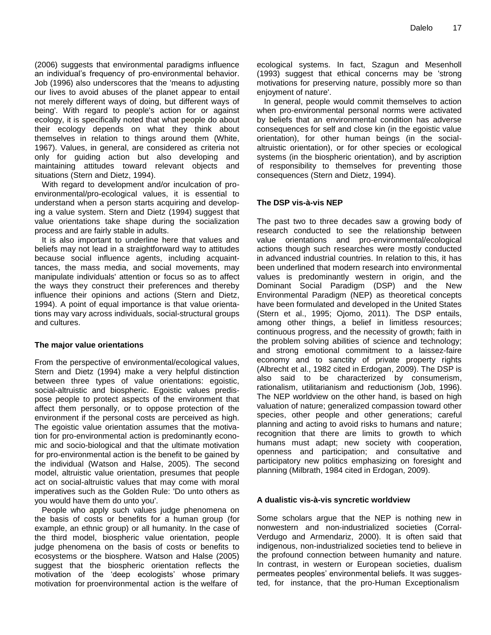(2006) suggests that environmental paradigms influence an individual"s frequency of pro-environmental behavior. Job (1996) also underscores that the 'means to adjusting our lives to avoid abuses of the planet appear to entail not merely different ways of doing, but different ways of being'. With regard to people's action for or against ecology, it is specifically noted that what people do about their ecology depends on what they think about themselves in relation to things around them (White, 1967). Values, in general, are considered as criteria not only for guiding action but also developing and maintaining attitudes toward relevant objects and situations (Stern and Dietz, 1994).

With regard to development and/or inculcation of proenvironmental/pro-ecological values, it is essential to understand when a person starts acquiring and developing a value system. Stern and Dietz (1994) suggest that value orientations take shape during the socialization process and are fairly stable in adults.

It is also important to underline here that values and beliefs may not lead in a straightforward way to attitudes because social influence agents, including acquainttances, the mass media, and social movements, may manipulate individuals' attention or focus so as to affect the ways they construct their preferences and thereby influence their opinions and actions (Stern and Dietz, 1994). A point of equal importance is that value orientations may vary across individuals, social-structural groups and cultures.

#### **The major value orientations**

From the perspective of environmental/ecological values, Stern and Dietz (1994) make a very helpful distinction between three types of value orientations: egoistic, social-altruistic and biospheric. Egoistic values predispose people to protect aspects of the environment that affect them personally, or to oppose protection of the environment if the personal costs are perceived as high. The egoistic value orientation assumes that the motivation for pro-environmental action is predominantly economic and socio-biological and that the ultimate motivation for pro-environmental action is the benefit to be gained by the individual (Watson and Halse, 2005). The second model, altruistic value orientation, presumes that people act on social-altruistic values that may come with moral imperatives such as the Golden Rule: 'Do unto others as you would have them do unto you'.

People who apply such values judge phenomena on the basis of costs or benefits for a human group (for example, an ethnic group) or all humanity. In the case of the third model, biospheric value orientation, people judge phenomena on the basis of costs or benefits to ecosystems or the biosphere. Watson and Halse (2005) suggest that the biospheric orientation reflects the motivation of the 'deep ecologists' whose primary motivation for proenvironmental action is the welfare of

ecological systems. In fact, Szagun and Mesenholl (1993) suggest that ethical concerns may be 'strong motivations for preserving nature, possibly more so than enjoyment of nature'.

In general, people would commit themselves to action when pro-environmental personal norms were activated by beliefs that an environmental condition has adverse consequences for self and close kin (in the egoistic value orientation), for other human beings (in the socialaltruistic orientation), or for other species or ecological systems (in the biospheric orientation), and by ascription of responsibility to themselves for preventing those consequences (Stern and Dietz, 1994).

# **The DSP vis-à-vis NEP**

The past two to three decades saw a growing body of research conducted to see the relationship between value orientations and pro-environmental/ecological actions though such researches were mostly conducted in advanced industrial countries. In relation to this, it has been underlined that modern research into environmental values is predominantly western in origin, and the Dominant Social Paradigm (DSP) and the New Environmental Paradigm (NEP) as theoretical concepts have been formulated and developed in the United States (Stern et al., 1995; Ojomo, 2011). The DSP entails, among other things, a belief in limitless resources; continuous progress, and the necessity of growth; faith in the problem solving abilities of science and technology; and strong emotional commitment to a laissez-faire economy and to sanctity of private property rights (Albrecht et al., 1982 cited in Erdogan, 2009). The DSP is also said to be characterized by consumerism, rationalism, utilitarianism and reductionism (Job, 1996). The NEP worldview on the other hand, is based on high valuation of nature; generalized compassion toward other species, other people and other generations; careful planning and acting to avoid risks to humans and nature; recognition that there are limits to growth to which humans must adapt; new society with cooperation, openness and participation; and consultative and participatory new politics emphasizing on foresight and planning (Milbrath, 1984 cited in Erdogan, 2009).

# **A dualistic vis-à-vis syncretic worldview**

Some scholars argue that the NEP is nothing new in nonwestern and non-industrialized societies (Corral-Verdugo and Armendariz, 2000). It is often said that indigenous, non-industrialized societies tend to believe in the profound connection between humanity and nature. In contrast, in western or European societies, dualism permeates peoples" environmental beliefs. It was suggested, for instance, that the pro-Human Exceptionalism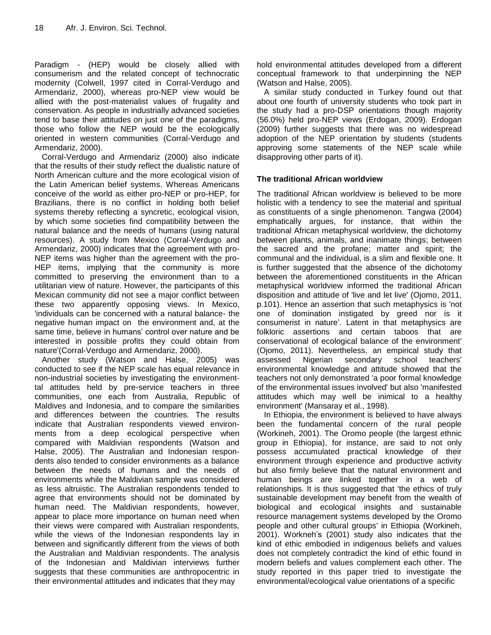Paradigm - (HEP) would be closely allied with consumerism and the related concept of technocratic modernity (Colwell, 1997 cited in Corral-Verdugo and Armendariz, 2000), whereas pro-NEP view would be allied with the post-materialist values of frugality and conservation. As people in industrially advanced societies tend to base their attitudes on just one of the paradigms, those who follow the NEP would be the ecologically oriented in western communities (Corral-Verdugo and Armendariz, 2000).

Corral-Verdugo and Armendariz (2000) also indicate that the results of their study reflect the dualistic nature of North American culture and the more ecological vision of the Latin American belief systems. Whereas Americans conceive of the world as either pro-NEP or pro-HEP, for Brazilians, there is no conflict in holding both belief systems thereby reflecting a syncretic, ecological vision, by which some societies find compatibility between the natural balance and the needs of humans (using natural resources). A study from Mexico (Corral-Verdugo and Armendariz, 2000) indicates that the agreement with pro-NEP items was higher than the agreement with the pro-HEP items, implying that the community is more committed to preserving the environment than to a utilitarian view of nature. However, the participants of this Mexican community did not see a major conflict between these two apparently opposing views. In Mexico, 'individuals can be concerned with a natural balance- the negative human impact on the environment and, at the same time, believe in humans' control over nature and be interested in possible profits they could obtain from nature'(Corral-Verdugo and Armendariz, 2000).

Another study (Watson and Halse, 2005) was conducted to see if the NEP scale has equal relevance in non-industrial societies by investigating the environmenttal attitudes held by pre-service teachers in three communities, one each from Australia, Republic of Maldives and Indonesia, and to compare the similarities and differences between the countries. The results indicate that Australian respondents viewed environments from a deep ecological perspective when compared with Maldivian respondents (Watson and Halse, 2005). The Australian and Indonesian respondents also tended to consider environments as a balance between the needs of humans and the needs of environments while the Maldivian sample was considered as less altruistic. The Australian respondents tended to agree that environments should not be dominated by human need. The Maldivian respondents, however, appear to place more importance on human need when their views were compared with Australian respondents, while the views of the Indonesian respondents lay in between and significantly different from the views of both the Australian and Maldivian respondents. The analysis of the Indonesian and Maldivian interviews further suggests that these communities are anthropocentric in their environmental attitudes and indicates that they may

hold environmental attitudes developed from a different conceptual framework to that underpinning the NEP (Watson and Halse, 2005).

A similar study conducted in Turkey found out that about one fourth of university students who took part in the study had a pro-DSP orientations though majority (56.0%) held pro-NEP views (Erdogan, 2009). Erdogan (2009) further suggests that there was no widespread adoption of the NEP orientation by students (students approving some statements of the NEP scale while disapproving other parts of it).

# **The traditional African worldview**

The traditional African worldview is believed to be more holistic with a tendency to see the material and spiritual as constituents of a single phenomenon. Tangwa (2004) emphatically argues, for instance, that within the traditional African metaphysical worldview, the dichotomy between plants, animals, and inanimate things; between the sacred and the profane; matter and spirit; the communal and the individual, is a slim and flexible one. It is further suggested that the absence of the dichotomy between the aforementioned constituents in the African metaphysical worldview informed the traditional African disposition and attitude of 'live and let live' (Ojomo, 2011, p.101). Hence an assertion that such metaphysics is 'not one of domination instigated by greed nor is it consumerist in nature'. Latent in that metaphysics are folkloric assertions and certain taboos that are conservational of ecological balance of the environment' (Ojomo, 2011). Nevertheless, an empirical study that assessed Nigerian secondary school teachers' environmental knowledge and attitude showed that the teachers not only demonstrated 'a poor formal knowledge of the environmental issues involved' but also 'manifested attitudes which may well be inimical to a healthy environment' (Mansaray et al., 1998).

In Ethiopia, the environment is believed to have always been the fundamental concern of the rural people (Workineh, 2001). The Oromo people (the largest ethnic group in Ethiopia), for instance, are said to not only possess accumulated practical knowledge of their environment through experience and productive activity but also firmly believe that the natural environment and human beings are linked together in a web of relationships. It is thus suggested that 'the ethics of truly sustainable development may benefit from the wealth of biological and ecological insights and sustainable resource management systems developed by the Oromo people and other cultural groups' in Ethiopia (Workineh, 2001). Workneh"s (2001) study also indicates that the kind of ethic embodied in indigenous beliefs and values does not completely contradict the kind of ethic found in modern beliefs and values complement each other. The study reported in this paper tried to investigate the environmental/ecological value orientations of a specific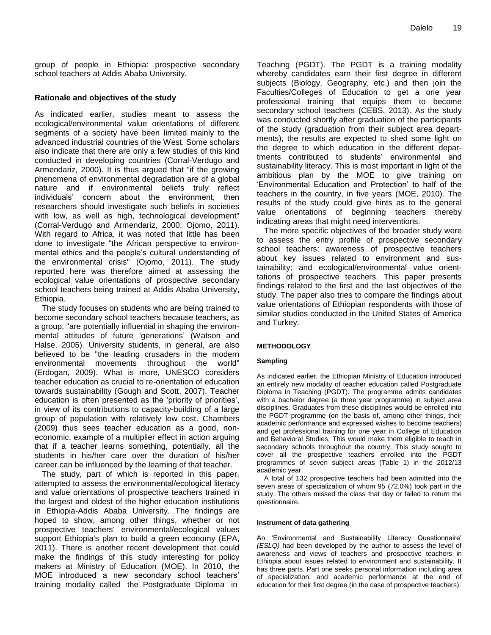group of people in Ethiopia: prospective secondary school teachers at Addis Ababa University.

#### **Rationale and objectives of the study**

As indicated earlier, studies meant to assess the ecological/environmental value orientations of different segments of a society have been limited mainly to the advanced industrial countries of the West. Some scholars also indicate that there are only a few studies of this kind conducted in developing countries (Corral-Verdugo and Armendariz, 2000). It is thus argued that "if the growing phenomena of environmental degradation are of a global nature and if environmental beliefs truly reflect individuals" concern about the environment, then researchers should investigate such beliefs in societies with low, as well as high, technological development" (Corral-Verdugo and Armendariz, 2000; Ojomo, 2011). With regard to Africa, it was noted that little has been done to investigate "the African perspective to environmental ethics and the people"s cultural understanding of the environmental crisis" (Ojomo, 2011). The study reported here was therefore aimed at assessing the ecological value orientations of prospective secondary school teachers being trained at Addis Ababa University, Ethiopia.

The study focuses on students who are being trained to become secondary school teachers because teachers, as a group, "are potentially influential in shaping the environmental attitudes of future "generations" (Watson and Halse, 2005). University students, in general, are also believed to be "the leading crusaders in the modern environmental movements throughout the world" (Erdogan, 2009). What is more, UNESCO considers teacher education as crucial to re-orientation of education towards sustainability (Gough and Scott, 2007). Teacher education is often presented as the "priority of priorities", in view of its contributions to capacity-building of a large group of population with relatively low cost. Chambers (2009) thus sees teacher education as a good, noneconomic, example of a multiplier effect in action arguing that if a teacher learns something, potentially, all the students in his/her care over the duration of his/her career can be influenced by the learning of that teacher.

The study, part of which is reported in this paper, attempted to assess the environmental/ecological literacy and value orientations of prospective teachers trained in the largest and oldest of the higher education institutions in Ethiopia-Addis Ababa University. The findings are hoped to show, among other things, whether or not prospective teachers' environmental/ecological values support Ethiopia's plan to build a green economy (EPA, 2011). There is another recent development that could make the findings of this study interesting for policy makers at Ministry of Education (MOE). In 2010, the MOE introduced a new secondary school teachers' training modality called the Postgraduate Diploma in

Teaching (PGDT). The PGDT is a training modality whereby candidates earn their first degree in different subjects (Biology, Geography, etc.) and then join the Faculties/Colleges of Education to get a one year professional training that equips them to become secondary school teachers (CEBS, 2013). As the study was conducted shortly after graduation of the participants of the study (graduation from their subject area departments), the results are expected to shed some light on the degree to which education in the different departments contributed to students" environmental and sustainability literacy. This is most important in light of the ambitious plan by the MOE to give training on "Environmental Education and Protection" to half of the teachers in the country, in five years (MOE, 2010). The results of the study could give hints as to the general value orientations of beginning teachers thereby indicating areas that might need interventions.

The more specific objectives of the broader study were to assess the entry profile of prospective secondary school teachers; awareness of prospective teachers about key issues related to environment and sustainability; and ecological/environmental value orienttations of prospective teachers. This paper presents findings related to the first and the last objectives of the study. The paper also tries to compare the findings about value orientations of Ethiopian respondents with those of similar studies conducted in the United States of America and Turkey.

#### **METHODOLOGY**

#### **Sampling**

As indicated earlier, the Ethiopian Ministry of Education introduced an entirely new modality of teacher education called Postgraduate Diploma in Teaching (PGDT). The programme admits candidates with a bachelor degree (a three year programme) in subject area disciplines. Graduates from these disciplines would be enrolled into the PGDT programme (on the basis of, among other things, their academic performance and expressed wishes to become teachers) and get professional training for one year in College of Education and Behavioral Studies. This would make them eligible to teach in secondary schools throughout the country. This study sought to cover all the prospective teachers enrolled into the PGDT programmes of seven subject areas (Table 1) in the 2012/13 academic year.

A total of 132 prospective teachers had been admitted into the seven areas of specialization of whom 95 (72.0%) took part in the study. The others missed the class that day or failed to return the questionnaire.

#### **Instrument of data gathering**

An 'Environmental and Sustainability Literacy Questionnaire' *(ESLQ)* had been developed by the author to assess the level of awareness and views of teachers and prospective teachers in Ethiopia about issues related to environment and sustainability. It has three parts. Part one seeks personal information including area of specialization; and academic performance at the end of education for their first degree (in the case of prospective teachers).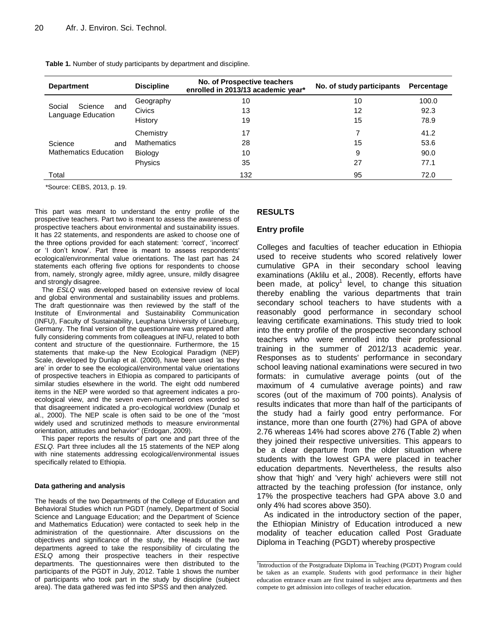**Table 1.** Number of study participants by department and discipline.

| <b>Department</b>                              | <b>Discipline</b>  | No. of Prospective teachers<br>enrolled in 2013/13 academic year* | No. of study participants | Percentage |
|------------------------------------------------|--------------------|-------------------------------------------------------------------|---------------------------|------------|
|                                                | Geography          | 10                                                                | 10                        | 100.0      |
| Science<br>Social<br>and<br>Language Education | <b>Civics</b>      | 13                                                                | 12                        | 92.3       |
|                                                | History            | 19                                                                | 15                        | 78.9       |
|                                                | Chemistry          | 17                                                                |                           | 41.2       |
| Science<br>and                                 | <b>Mathematics</b> | 28                                                                | 15                        | 53.6       |
| <b>Mathematics Education</b>                   | Biology            | 10                                                                | 9                         | 90.0       |
|                                                | Physics            | 35                                                                | 27                        | 77.1       |
| Total                                          |                    | 132                                                               | 95                        | 72.0       |

\*Source: CEBS, 2013, p. 19.

This part was meant to understand the entry profile of the prospective teachers. Part two is meant to assess the awareness of prospective teachers about environmental and sustainability issues. It has 22 statements, and respondents are asked to choose one of the three options provided for each statement: "correct", "incorrect" or "I don"t know". Part three is meant to assess respondents' ecological/environmental value orientations. The last part has 24 statements each offering five options for respondents to choose from, namely, strongly agree, mildly agree, unsure, mildly disagree and strongly disagree.

The *ESLQ* was developed based on extensive review of local and global environmental and sustainability issues and problems. The draft questionnaire was then reviewed by the staff of the Institute of Environmental and Sustainability Communication (INFU), Faculty of Sustainability, Leuphana University of Lüneburg, Germany. The final version of the questionnaire was prepared after fully considering comments from colleagues at INFU, related to both content and structure of the questionnaire. Furthermore, the 15 statements that make-up the New Ecological Paradigm (NEP) Scale, developed by Dunlap et al. (2000), have been used *'*as they are" in order to see the ecological/environmental value orientations of prospective teachers in Ethiopia as compared to participants of similar studies elsewhere in the world. The eight odd numbered items in the NEP were worded so that agreement indicates a proecological view, and the seven even-numbered ones worded so that disagreement indicated a pro-ecological worldview (Dunalp et al., 2000). The NEP scale is often said to be one of the "most widely used and scrutinized methods to measure environmental orientation, attitudes and behavior" (Erdogan, 2009).

This paper reports the results of part one and part three of the *ESLQ.* Part three includes all the 15 statements of the NEP along with nine statements addressing ecological/environmental issues specifically related to Ethiopia.

#### **Data gathering and analysis**

The heads of the two Departments of the College of Education and Behavioral Studies which run PGDT (namely, Department of Social Science and Language Education; and the Department of Science and Mathematics Education) were contacted to seek help in the administration of the questionnaire. After discussions on the objectives and significance of the study, the Heads of the two departments agreed to take the responsibility of circulating the *ESLQ* among their prospective teachers in their respective departments. The questionnaires were then distributed to the participants of the PGDT in July, 2012. Table 1 shows the number of participants who took part in the study by discipline (subject area). The data gathered was fed into SPSS and then analyzed.

#### **RESULTS**

#### **Entry profile**

Colleges and faculties of teacher education in Ethiopia used to receive students who scored relatively lower cumulative GPA in their secondary school leaving examinations (Aklilu et al., 2008). Recently, efforts have been made, at policy<sup>1</sup> level, to change this situation thereby enabling the various departments that train secondary school teachers to have students with a reasonably good performance in secondary school leaving certificate examinations. This study tried to look into the entry profile of the prospective secondary school teachers who were enrolled into their professional training in the summer of 2012/13 academic year. Responses as to students' performance in secondary school leaving national examinations were secured in two formats: in cumulative average points (out of the maximum of 4 cumulative average points) and raw scores (out of the maximum of 700 points). Analysis of results indicates that more than half of the participants of the study had a fairly good entry performance. For instance, more than one fourth (27%) had GPA of above 2.76 whereas 14% had scores above 276 (Table 2) when they joined their respective universities. This appears to be a clear departure from the older situation where students with the lowest GPA were placed in teacher education departments. Nevertheless, the results also show that 'high' and 'very high' achievers were still not attracted by the teaching profession (for instance, only 17% the prospective teachers had GPA above 3.0 and only 4% had scores above 350).

As indicated in the introductory section of the paper, the Ethiopian Ministry of Education introduced a new modality of teacher education called Post Graduate Diploma in Teaching (PGDT) whereby prospective

<sup>&</sup>lt;sup>1</sup>Introduction of the Postgraduate Diploma in Teaching (PGDT) Program could be taken as an example. Students with good performance in their higher education entrance exam are first trained in subject area departments and then compete to get admission into colleges of teacher education.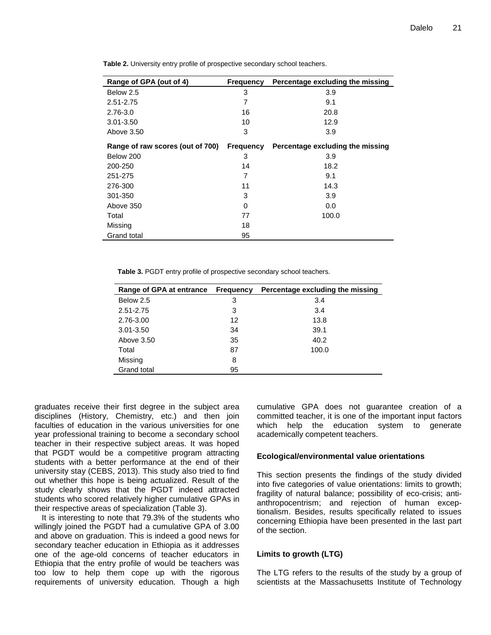| Range of GPA (out of 4)          | <b>Frequency</b> | Percentage excluding the missing |
|----------------------------------|------------------|----------------------------------|
| Below 2.5                        | 3                | 3.9                              |
| 2.51-2.75                        | 7                | 9.1                              |
| 2.76-3.0                         | 16               | 20.8                             |
| $3.01 - 3.50$                    | 10               | 12.9                             |
| Above 3.50                       | 3                | 3.9                              |
| Range of raw scores (out of 700) | Frequency        | Percentage excluding the missing |
| Below 200                        | 3                | 3.9                              |
| 200-250                          | 14               | 18.2                             |
| 251-275                          | 7                | 9.1                              |
| 276-300                          | 11               | 14.3                             |
| 301-350                          | 3                | 3.9                              |
| Above 350                        | 0                | 0.0                              |
| Total                            | 77               | 100.0                            |
| Missing                          | 18               |                                  |
| Grand total                      | 95               |                                  |

**Table 2.** University entry profile of prospective secondary school teachers.

**Table 3.** PGDT entry profile of prospective secondary school teachers.

| Range of GPA at entrance | Frequency | Percentage excluding the missing |
|--------------------------|-----------|----------------------------------|
| Below 2.5                | 3         | 3.4                              |
| 2.51-2.75                | 3         | 3.4                              |
| 2.76-3.00                | 12        | 13.8                             |
| $3.01 - 3.50$            | 34        | 39.1                             |
| Above 3.50               | 35        | 40.2                             |
| Total                    | 87        | 100.0                            |
| Missing                  | 8         |                                  |
| Grand total              | 95        |                                  |

graduates receive their first degree in the subject area disciplines (History, Chemistry, etc.) and then join faculties of education in the various universities for one year professional training to become a secondary school teacher in their respective subject areas. It was hoped that PGDT would be a competitive program attracting students with a better performance at the end of their university stay (CEBS, 2013). This study also tried to find out whether this hope is being actualized. Result of the study clearly shows that the PGDT indeed attracted students who scored relatively higher cumulative GPAs in their respective areas of specialization (Table 3).

It is interesting to note that 79.3% of the students who willingly joined the PGDT had a cumulative GPA of 3.00 and above on graduation. This is indeed a good news for secondary teacher education in Ethiopia as it addresses one of the age-old concerns of teacher educators in Ethiopia that the entry profile of would be teachers was too low to help them cope up with the rigorous requirements of university education. Though a high

cumulative GPA does not guarantee creation of a committed teacher, it is one of the important input factors which help the education system to generate academically competent teachers.

#### **Ecological/environmental value orientations**

This section presents the findings of the study divided into five categories of value orientations: limits to growth; fragility of natural balance; possibility of eco-crisis; antianthropocentrism; and rejection of human exceptionalism. Besides, results specifically related to issues concerning Ethiopia have been presented in the last part of the section.

#### **Limits to growth (LTG)**

The LTG refers to the results of the study by a group of scientists at the Massachusetts Institute of Technology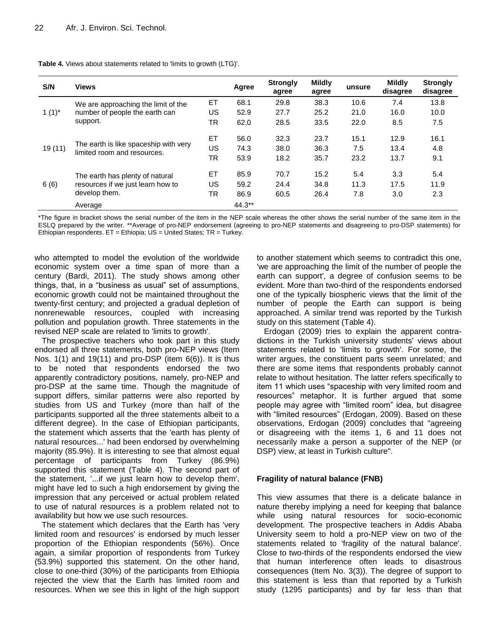| Table 4. Views about statements related to 'limits to growth (LTG)'. |  |  |  |
|----------------------------------------------------------------------|--|--|--|
|----------------------------------------------------------------------|--|--|--|

| S/N        | <b>Views</b>                                                         |           | Agree  | <b>Strongly</b><br>agree | <b>Mildly</b><br>agree | unsure | <b>Mildly</b><br>disagree | <b>Strongly</b><br>disagree |
|------------|----------------------------------------------------------------------|-----------|--------|--------------------------|------------------------|--------|---------------------------|-----------------------------|
|            | We are approaching the limit of the                                  | <b>ET</b> | 68.1   | 29.8                     | 38.3                   | 10.6   | 7.4                       | 13.8                        |
| $1(1)^{*}$ | number of people the earth can                                       | US        | 52.9   | 27.7                     | 25.2                   | 21.0   | 16.0                      | 10.0                        |
|            | support.                                                             | TR        | 62.0   | 28.5                     | 33.5                   | 22.0   | 8.5                       | 7.5                         |
|            | The earth is like spaceship with very<br>limited room and resources. | ET        | 56.0   | 32.3                     | 23.7                   | 15.1   | 12.9                      | 16.1                        |
| 19 (11)    |                                                                      | US        | 74.3   | 38.0                     | 36.3                   | 7.5    | 13.4                      | 4.8                         |
|            |                                                                      | TR        | 53.9   | 18.2                     | 35.7                   | 23.2   | 13.7                      | 9.1                         |
|            | The earth has plenty of natural                                      | ET        | 85.9   | 70.7                     | 15.2                   | 5.4    | 3.3                       | 5.4                         |
| 6(6)       | resources if we just learn how to<br>develop them.                   | US        | 59.2   | 24.4                     | 34.8                   | 11.3   | 17.5                      | 11.9                        |
|            |                                                                      | TR        | 86.9   | 60.5                     | 26.4                   | 7.8    | 3.0                       | 2.3                         |
|            | Average                                                              |           | 44.3** |                          |                        |        |                           |                             |

\*The figure in bracket shows the serial number of the item in the NEP scale whereas the other shows the serial number of the same item in the ESLQ prepared by the writer. \*\*Average of pro-NEP endorsement (agreeing to pro-NEP statements and disagreeing to pro-DSP statements) for Ethiopian respondents.  $ET =$  Ethiopia;  $\overline{US} =$  United States;  $TR =$  Turkey.

who attempted to model the evolution of the worldwide economic system over a time span of more than a century (Bardi, 2011). The study shows among other things, that, in a "business as usual" set of assumptions, economic growth could not be maintained throughout the twenty-first century; and projected a gradual depletion of nonrenewable resources, coupled with increasing pollution and population growth. Three statements in the revised NEP scale are related to 'limits to growth'.

The prospective teachers who took part in this study endorsed all three statements, both pro-NEP views (Item Nos. 1(1) and 19(11) and pro-DSP (item 6(6)). It is thus to be noted that respondents endorsed the two apparently contradictory positions, namely, pro-NEP and pro-DSP at the same time. Though the magnitude of support differs, similar patterns were also reported by studies from US and Turkey (more than half of the participants supported all the three statements albeit to a different degree). In the case of Ethiopian participants, the statement which asserts that the 'earth has plenty of natural resources...' had been endorsed by overwhelming majority (85.9%). It is interesting to see that almost equal percentage of participants from Turkey (86.9%) supported this statement (Table 4). The second part of the statement, '...if we just learn how to develop them', might have led to such a high endorsement by giving the impression that any perceived or actual problem related to use of natural resources is a problem related not to availability but how we use such resources.

The statement which declares that the Earth has 'very limited room and resources' is endorsed by much lesser proportion of the Ethiopian respondents (56%). Once again, a similar proportion of respondents from Turkey (53.9%) supported this statement. On the other hand, close to one-third (30%) of the participants from Ethiopia rejected the view that the Earth has limited room and resources. When we see this in light of the high support to another statement which seems to contradict this one, 'we are approaching the limit of the number of people the earth can support', a degree of confusion seems to be evident. More than two-third of the respondents endorsed one of the typically biospheric views that the limit of the number of people the Earth can support is being approached. A similar trend was reported by the Turkish study on this statement (Table 4).

Erdogan (2009) tries to explain the apparent contradictions in the Turkish university students' views about statements related to 'limits to growth'. For some, the writer argues, the constituent parts seem unrelated; and there are some items that respondents probably cannot relate to without hesitation. The latter refers specifically to item 11 which uses "spaceship with very limited room and resources" metaphor. It is further argued that some people may agree with "limited room" idea, but disagree with "limited resources" (Erdogan, 2009). Based on these observations, Erdogan (2009) concludes that "agreeing or disagreeing with the items 1, 6 and 11 does not necessarily make a person a supporter of the NEP (or DSP) view, at least in Turkish culture".

# **Fragility of natural balance (FNB)**

This view assumes that there is a delicate balance in nature thereby implying a need for keeping that balance while using natural resources for socio-economic development. The prospective teachers in Addis Ababa University seem to hold a pro-NEP view on two of the statements related to 'fragility of the natural balance'. Close to two-thirds of the respondents endorsed the view that human interference often leads to disastrous consequences (Item No. 3(3)). The degree of support to this statement is less than that reported by a Turkish study (1295 participants) and by far less than that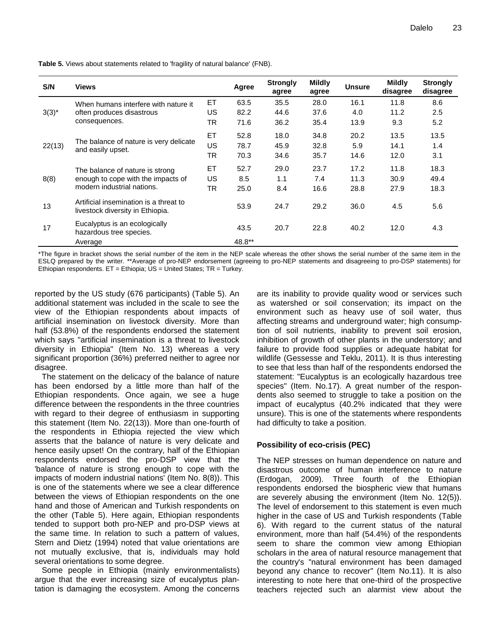| S/N        | <b>Views</b>                                                                                        |           | Agree  | <b>Strongly</b><br>agree | <b>Mildly</b><br>agree | <b>Unsure</b> | <b>Mildly</b><br>disagree | <b>Strongly</b><br>disagree |
|------------|-----------------------------------------------------------------------------------------------------|-----------|--------|--------------------------|------------------------|---------------|---------------------------|-----------------------------|
| $3(3)^{*}$ | When humans interfere with nature it                                                                | <b>ET</b> | 63.5   | 35.5                     | 28.0                   | 16.1          | 11.8                      | 8.6                         |
|            | often produces disastrous                                                                           | US        | 82.2   | 44.6                     | 37.6                   | 4.0           | 11.2                      | 2.5                         |
|            | consequences.                                                                                       | TR        | 71.6   | 36.2                     | 35.4                   | 13.9          | 9.3                       | 5.2                         |
|            |                                                                                                     | ET.       | 52.8   | 18.0                     | 34.8                   | 20.2          | 13.5                      | 13.5                        |
| 22(13)     | The balance of nature is very delicate<br>and easily upset.                                         | US        | 78.7   | 45.9                     | 32.8                   | 5.9           | 14.1                      | 1.4                         |
|            |                                                                                                     | TR        | 70.3   | 34.6                     | 35.7                   | 14.6          | 12.0                      | 3.1                         |
|            | The balance of nature is strong<br>enough to cope with the impacts of<br>modern industrial nations. | ЕT        | 52.7   | 29.0                     | 23.7                   | 17.2          | 11.8                      | 18.3                        |
| 8(8)       |                                                                                                     | US        | 8.5    | 1.1                      | 7.4                    | 11.3          | 30.9                      | 49.4                        |
|            |                                                                                                     | TR        | 25.0   | 8.4                      | 16.6                   | 28.8          | 27.9                      | 18.3                        |
| 13         | Artificial insemination is a threat to<br>livestock diversity in Ethiopia.                          |           | 53.9   | 24.7                     | 29.2                   | 36.0          | 4.5                       | 5.6                         |
| 17         | Eucalyptus is an ecologically<br>hazardous tree species.                                            |           | 43.5   | 20.7                     | 22.8                   | 40.2          | 12.0                      | 4.3                         |
|            | Average                                                                                             |           | 48.8** |                          |                        |               |                           |                             |

**Table 5.** Views about statements related to 'fragility of natural balance' (FNB).

\*The figure in bracket shows the serial number of the item in the NEP scale whereas the other shows the serial number of the same item in the ESLQ prepared by the writer. \*\*Average of pro-NEP endorsement (agreeing to pro-NEP statements and disagreeing to pro-DSP statements) for Ethiopian respondents. ET = Ethiopia; US = United States; TR = Turkey.

reported by the US study (676 participants) (Table 5). An additional statement was included in the scale to see the view of the Ethiopian respondents about impacts of artificial insemination on livestock diversity. More than half (53.8%) of the respondents endorsed the statement which says "artificial insemination is a threat to livestock diversity in Ethiopia" (Item No. 13) whereas a very significant proportion (36%) preferred neither to agree nor disagree.

The statement on the delicacy of the balance of nature has been endorsed by a little more than half of the Ethiopian respondents. Once again, we see a huge difference between the respondents in the three countries with regard to their degree of enthusiasm in supporting this statement (Item No. 22(13)). More than one-fourth of the respondents in Ethiopia rejected the view which asserts that the balance of nature is very delicate and hence easily upset! On the contrary, half of the Ethiopian respondents endorsed the pro-DSP view that the 'balance of nature is strong enough to cope with the impacts of modern industrial nations' (Item No. 8(8)). This is one of the statements where we see a clear difference between the views of Ethiopian respondents on the one hand and those of American and Turkish respondents on the other (Table 5). Here again, Ethiopian respondents tended to support both pro-NEP and pro-DSP views at the same time. In relation to such a pattern of values, Stern and Dietz (1994) noted that value orientations are not mutually exclusive, that is, individuals may hold several orientations to some degree.

Some people in Ethiopia (mainly environmentalists) argue that the ever increasing size of eucalyptus plantation is damaging the ecosystem. Among the concerns are its inability to provide quality wood or services such as watershed or soil conservation; its impact on the environment such as heavy use of soil water, thus affecting streams and underground water; high consumption of soil nutrients, inability to prevent soil erosion, inhibition of growth of other plants in the understory; and failure to provide food supplies or adequate habitat for wildlife (Gessesse and Teklu, 2011). It is thus interesting to see that less than half of the respondents endorsed the statement: "Eucalyptus is an ecologically hazardous tree species" (Item. No.17). A great number of the respondents also seemed to struggle to take a position on the impact of eucalyptus (40.2% indicated that they were unsure). This is one of the statements where respondents had difficulty to take a position.

# **Possibility of eco-crisis (PEC)**

The NEP stresses on human dependence on nature and disastrous outcome of human interference to nature (Erdogan, 2009). Three fourth of the Ethiopian respondents endorsed the biospheric view that humans are severely abusing the environment (Item No. 12(5)). The level of endorsement to this statement is even much higher in the case of US and Turkish respondents (Table 6). With regard to the current status of the natural environment, more than half (54.4%) of the respondents seem to share the common view among Ethiopian scholars in the area of natural resource management that the country's "natural environment has been damaged beyond any chance to recover" (Item No.11). It is also interesting to note here that one-third of the prospective teachers rejected such an alarmist view about the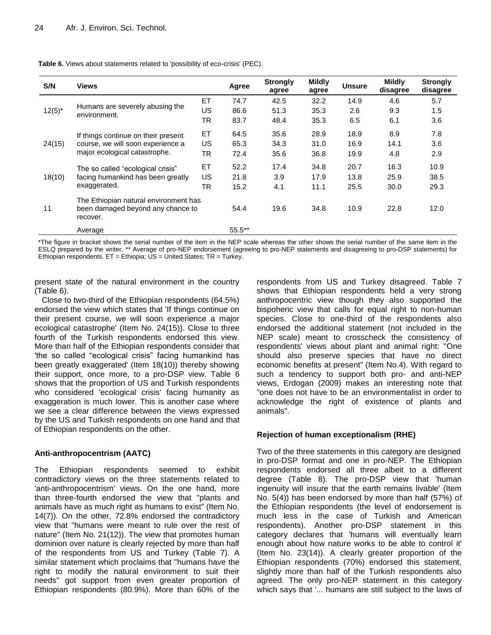| Table 6. Views about statements related to 'possibility of eco-crisis' (PEC). |  |
|-------------------------------------------------------------------------------|--|
|-------------------------------------------------------------------------------|--|

| S/N         | <b>Views</b>                                    |    | Agree  | <b>Strongly</b><br>agree | <b>Mildly</b><br>agree | <b>Unsure</b> | <b>Mildly</b><br>disagree | <b>Strongly</b><br>disagree |
|-------------|-------------------------------------------------|----|--------|--------------------------|------------------------|---------------|---------------------------|-----------------------------|
|             |                                                 | ET | 74.7   | 42.5                     | 32.2                   | 14.9          | 4.6                       | 5.7                         |
| $12(5)^{*}$ | Humans are severely abusing the<br>environment. | US | 86.6   | 51.3                     | 35.3                   | 2.6           | 9.3                       | 1.5                         |
|             |                                                 | TR | 83.7   | 48.4                     | 35.3                   | 6.5           | 6.1                       | 3.6                         |
|             | If things continue on their present             | ET | 64.5   | 35.6                     | 28.9                   | 18.9          | 8.9                       | 7.8                         |
| 24(15)      | course, we will soon experience a               | US | 65.3   | 34.3                     | 31.0                   | 16.9          | 14.1                      | 3.6                         |
|             | major ecological catastrophe.                   | TR | 72.4   | 35.6                     | 36.8                   | 19.9          | 4.8                       | 2.9                         |
|             | The so called "ecological crisis"               | ET | 52.2   | 17.4                     | 34.8                   | 20.7          | 16.3                      | 10.9                        |
| 18(10)      | facing humankind has been greatly               | US | 21.8   | 3.9                      | 17.9                   | 13.8          | 25.9                      | 38.5                        |
|             | exaggerated.                                    | TR | 15.2   | 4.1                      | 11.1                   | 25.5          | 30.0                      | 29.3                        |
|             | The Ethiopian natural environment has           |    |        |                          |                        |               |                           |                             |
| 11          | been damaged beyond any chance to<br>recover.   |    | 54.4   | 19.6                     | 34.8                   | 10.9          | 22.8                      | 12.0                        |
|             | Average                                         |    | 55.5** |                          |                        |               |                           |                             |

\*The figure in bracket shows the serial number of the item in the NEP scale whereas the other shows the serial number of the same item in the ESLQ prepared by the writer. \*\* Average of pro-NEP endorsement (agreeing to pro-NEP statements and disagreeing to pro-DSP statements) for Ethiopian respondents. ET = Ethiopia; US = United States; TR = Turkey.

present state of the natural environment in the country (Table 6).

Close to two-third of the Ethiopian respondents (64.5%) endorsed the view which states that 'If things continue on their present course, we will soon experience a major ecological catastrophe' (Item No. 24(15)). Close to three fourth of the Turkish respondents endorsed this view. More than half of the Ethiopian respondents consider that 'the so called "ecological crisis" facing humankind has been greatly exaggerated' (Item 18(10)) thereby showing their support, once more, to a pro-DSP view. Table 6 shows that the proportion of US and Turkish respondents who considered 'ecological crisis' facing humanity as exaggeration is much lower. This is another case where we see a clear difference between the views expressed by the US and Turkish respondents on one hand and that of Ethiopian respondents on the other.

# **Anti-anthropocentrism (AATC)**

The Ethiopian respondents seemed to exhibit contradictory views on the three statements related to 'anti-anthropocentrism' views. On the one hand, more than three-fourth endorsed the view that "plants and animals have as much right as humans to exist" (Item No. 14(7)). On the other, 72.8% endorsed the contradictory view that "humans were meant to rule over the rest of nature" (Item No. 21(12)). The view that promotes human dominion over nature is clearly rejected by more than half of the respondents from US and Turkey (Table 7). A similar statement which proclaims that "humans have the right to modify the natural environment to suit their needs" got support from even greater proportion of Ethiopian respondents (80.9%). More than 60% of the respondents from US and Turkey disagreed. Table 7 shows that Ethiopian respondents held a very strong anthropocentric view though they also supported the bispoheric view that calls for equal right to non-human species. Close to one-third of the respondents also endorsed the additional statement (not included in the NEP scale) meant to crosscheck the consistency of respondents' views about plant and animal right: "One should also preserve species that have no direct economic benefits at present" (Item No.4). With regard to such a tendency to support both pro- and anti-NEP views, Erdogan (2009) makes an interesting note that "one does not have to be an environmentalist in order to acknowledge the right of existence of plants and animals".

# **Rejection of human exceptionalism (RHE)**

Two of the three statements in this category are designed in pro-DSP format and one in pro-NEP. The Ethiopian respondents endorsed all three albeit to a different degree (Table 8). The pro-DSP view that 'human ingenuity will insure that the earth remains livable' (Item No. 5(4)) has been endorsed by more than half (57%) of the Ethiopian respondents (the level of endorsement is much less in the case of Turkish and American respondents). Another pro-DSP statement in this category declares that 'humans will eventually learn enough about how nature works to be able to control it' (Item No. 23(14)). A clearly greater proportion of the Ethiopian respondents (70%) endorsed this statement, slightly more than half of the Turkish respondents also agreed. The only pro-NEP statement in this category which says that '... humans are still subject to the laws of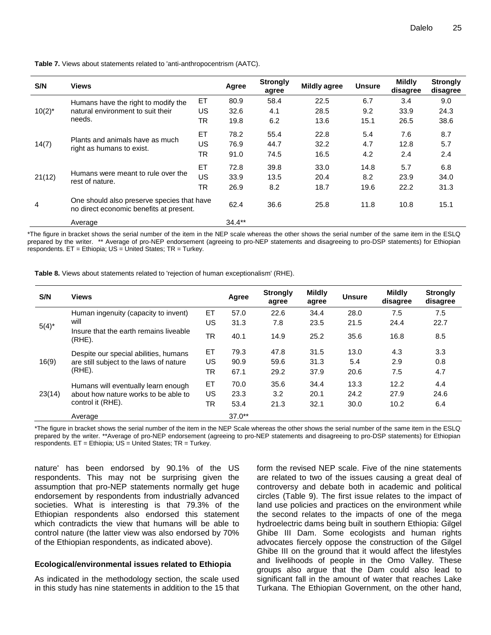**S/N Views Agree Strongly agree Mildly agree Unsure Mildly disagree Strongly disagree**  $10(2)^{*}$ Humans have the right to modify the natural environment to suit their needs. ET 80.9 58.4 22.5 6.7 3.4 9.0 US 32.6 4.1 28.5 9.2 33.9 24.3 TR 19.8 6.2 13.6 15.1 26.5 38.6 14(7) Plants and animals have as much right as humans to exist. ET 78.2 55.4 22.8 5.4 7.6 8.7 US 76.9 44.7 32.2 4.7 12.8 5.7 TR 91.0 74.5 16.5 4.2 2.4 2.4 21(12) Humans were meant to rule over the rest of nature. ET 72.8 39.8 33.0 14.8 5.7 6.8 US 33.9 13.5 20.4 8.2 23.9 34.0 TR 26.9 8.2 18.7 19.6 22.2 31.3 4 One should also preserve species that have one should also preserve species that have  $62.4$  36.6 25.8 11.8 10.8 15.1 16.1 Average 34.4\*\*

**Table 7.** Views about statements related to 'anti-anthropocentrism (AATC).

\*The figure in bracket shows the serial number of the item in the NEP scale whereas the other shows the serial number of the same item in the ESLQ prepared by the writer. \*\* Average of pro-NEP endorsement (agreeing to pro-NEP statements and disagreeing to pro-DSP statements) for Ethiopian respondents. ET = Ethiopia; US = United States; TR = Turkey.

**Table 8.** Views about statements related to 'rejection of human exceptionalism' (RHE).

| S/N        | <b>Views</b>                                                                                           |           | Agree    | <b>Strongly</b><br>agree | <b>Mildly</b><br>agree | <b>Unsure</b> | <b>Mildly</b><br>disagree | <b>Strongly</b><br>disagree |
|------------|--------------------------------------------------------------------------------------------------------|-----------|----------|--------------------------|------------------------|---------------|---------------------------|-----------------------------|
|            | Human ingenuity (capacity to invent)                                                                   | ET        | 57.0     | 22.6                     | 34.4                   | 28.0          | 7.5                       | 7.5                         |
| $5(4)^{*}$ | will                                                                                                   | US        | 31.3     | 7.8                      | 23.5                   | 21.5          | 24.4                      | 22.7                        |
|            | Insure that the earth remains liveable<br>$(RHE)$ .                                                    | TR        | 40.1     | 14.9                     | 25.2                   | 35.6          | 16.8                      | 8.5                         |
|            | Despite our special abilities, humans<br>are still subject to the laws of nature<br>16(9)<br>$(RHE)$ . | ET        | 79.3     | 47.8                     | 31.5                   | 13.0          | 4.3                       | 3.3                         |
|            |                                                                                                        | US        | 90.9     | 59.6                     | 31.3                   | 5.4           | 2.9                       | 0.8                         |
|            |                                                                                                        | <b>TR</b> | 67.1     | 29.2                     | 37.9                   | 20.6          | 7.5                       | 4.7                         |
|            | Humans will eventually learn enough<br>about how nature works to be able to<br>control it (RHE).       | ET        | 70.0     | 35.6                     | 34.4                   | 13.3          | 12.2                      | 4.4                         |
| 23(14)     |                                                                                                        | US        | 23.3     | 3.2                      | 20.1                   | 24.2          | 27.9                      | 24.6                        |
|            |                                                                                                        | TR        | 53.4     | 21.3                     | 32.1                   | 30.0          | 10.2                      | 6.4                         |
|            | Average                                                                                                |           | $37.0**$ |                          |                        |               |                           |                             |

\*The figure in bracket shows the serial number of the item in the NEP Scale whereas the other shows the serial number of the same item in the ESLQ prepared by the writer. \*\*Average of pro-NEP endorsement (agreeing to pro-NEP statements and disagreeing to pro-DSP statements) for Ethiopian respondents. ET = Ethiopia; US = United States; TR = Turkey.

nature' has been endorsed by 90.1% of the US respondents. This may not be surprising given the assumption that pro-NEP statements normally get huge endorsement by respondents from industrially advanced societies. What is interesting is that 79.3% of the Ethiopian respondents also endorsed this statement which contradicts the view that humans will be able to control nature (the latter view was also endorsed by 70% of the Ethiopian respondents, as indicated above).

#### **Ecological/environmental issues related to Ethiopia**

As indicated in the methodology section, the scale used in this study has nine statements in addition to the 15 that form the revised NEP scale. Five of the nine statements are related to two of the issues causing a great deal of controversy and debate both in academic and political circles (Table 9). The first issue relates to the impact of land use policies and practices on the environment while the second relates to the impacts of one of the mega hydroelectric dams being built in southern Ethiopia: Gilgel Ghibe III Dam. Some ecologists and human rights advocates fiercely oppose the construction of the Gilgel Ghibe III on the ground that it would affect the lifestyles and livelihoods of people in the Omo Valley. These groups also argue that the Dam could also lead to significant fall in the amount of water that reaches Lake Turkana. The Ethiopian Government, on the other hand,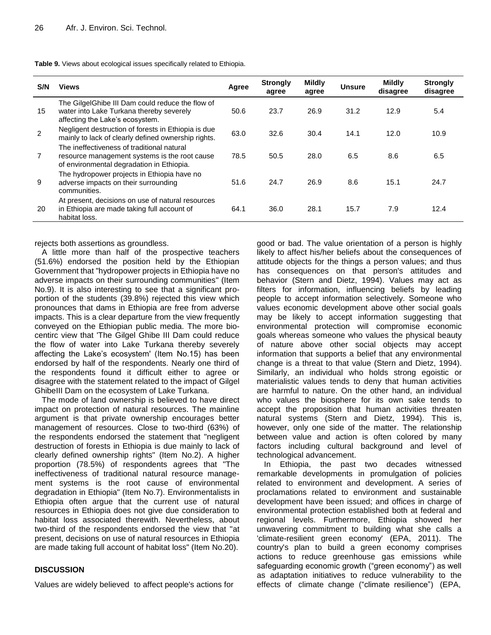| Table 9. Views about ecological issues specifically related to Ethiopia. |  |
|--------------------------------------------------------------------------|--|
|--------------------------------------------------------------------------|--|

| S/N            | <b>Views</b>                                                                                                                             | Agree | <b>Strongly</b><br>agree | <b>Mildly</b><br>agree | <b>Unsure</b> | <b>Mildly</b><br>disagree | <b>Strongly</b><br>disagree |
|----------------|------------------------------------------------------------------------------------------------------------------------------------------|-------|--------------------------|------------------------|---------------|---------------------------|-----------------------------|
| 15             | The Gilgel Ghibe III Dam could reduce the flow of<br>water into Lake Turkana thereby severely<br>affecting the Lake's ecosystem.         | 50.6  | 23.7                     | 26.9                   | 31.2          | 12.9                      | 5.4                         |
| 2              | Negligent destruction of forests in Ethiopia is due<br>mainly to lack of clearly defined ownership rights.                               | 63.0  | 32.6                     | 30.4                   | 14.1          | 12.0                      | 10.9                        |
| $\overline{7}$ | The ineffectiveness of traditional natural<br>resource management systems is the root cause<br>of environmental degradation in Ethiopia. | 78.5  | 50.5                     | 28.0                   | 6.5           | 8.6                       | 6.5                         |
| 9              | The hydropower projects in Ethiopia have no<br>adverse impacts on their surrounding<br>communities.                                      | 51.6  | 24.7                     | 26.9                   | 8.6           | 15.1                      | 24.7                        |
| 20             | At present, decisions on use of natural resources<br>in Ethiopia are made taking full account of<br>habitat loss.                        | 64.1  | 36.0                     | 28.1                   | 15.7          | 7.9                       | 12.4                        |

rejects both assertions as groundless.

A little more than half of the prospective teachers (51.6%) endorsed the position held by the Ethiopian Government that "hydropower projects in Ethiopia have no adverse impacts on their surrounding communities" (Item No.9). It is also interesting to see that a significant proportion of the students (39.8%) rejected this view which pronounces that dams in Ethiopia are free from adverse impacts. This is a clear departure from the view frequently conveyed on the Ethiopian public media. The more biocentirc view that 'The Gilgel Ghibe III Dam could reduce the flow of water into Lake Turkana thereby severely affecting the Lake"s ecosystem' (Item No.15) has been endorsed by half of the respondents. Nearly one third of the respondents found it difficult either to agree or disagree with the statement related to the impact of Gilgel GhibeIII Dam on the ecosystem of Lake Turkana.

The mode of land ownership is believed to have direct impact on protection of natural resources. The mainline argument is that private ownership encourages better management of resources. Close to two-third (63%) of the respondents endorsed the statement that "negligent destruction of forests in Ethiopia is due mainly to lack of clearly defined ownership rights" (Item No.2). A higher proportion (78.5%) of respondents agrees that "The ineffectiveness of traditional natural resource management systems is the root cause of environmental degradation in Ethiopia" (Item No.7). Environmentalists in Ethiopia often argue that the current use of natural resources in Ethiopia does not give due consideration to habitat loss associated therewith. Nevertheless, about two-third of the respondents endorsed the view that "at present, decisions on use of natural resources in Ethiopia are made taking full account of habitat loss" (Item No.20).

# **DISCUSSION**

Values are widely believed to affect people's actions for

good or bad. The value orientation of a person is highly likely to affect his/her beliefs about the consequences of attitude objects for the things a person values; and thus has consequences on that person's attitudes and behavior (Stern and Dietz, 1994). Values may act as filters for information, influencing beliefs by leading people to accept information selectively. Someone who values economic development above other social goals may be likely to accept information suggesting that environmental protection will compromise economic goals whereas someone who values the physical beauty of nature above other social objects may accept information that supports a belief that any environmental change is a threat to that value (Stern and Dietz, 1994). Similarly, an individual who holds strong egoistic or materialistic values tends to deny that human activities are harmful to nature. On the other hand, an individual who values the biosphere for its own sake tends to accept the proposition that human activities threaten natural systems (Stern and Dietz, 1994). This is, however, only one side of the matter. The relationship between value and action is often colored by many factors including cultural background and level of technological advancement.

In Ethiopia, the past two decades witnessed remarkable developments in promulgation of policies related to environment and development. A series of proclamations related to environment and sustainable development have been issued; and offices in charge of environmental protection established both at federal and regional levels. Furthermore, Ethiopia showed her unwavering commitment to building what she calls a 'climate-resilient green economy' (EPA, 2011). The country's plan to build a green economy comprises actions to reduce greenhouse gas emissions while safeguarding economic growth ("green economy") as well as adaptation initiatives to reduce vulnerability to the effects of climate change ("climate resilience") (EPA,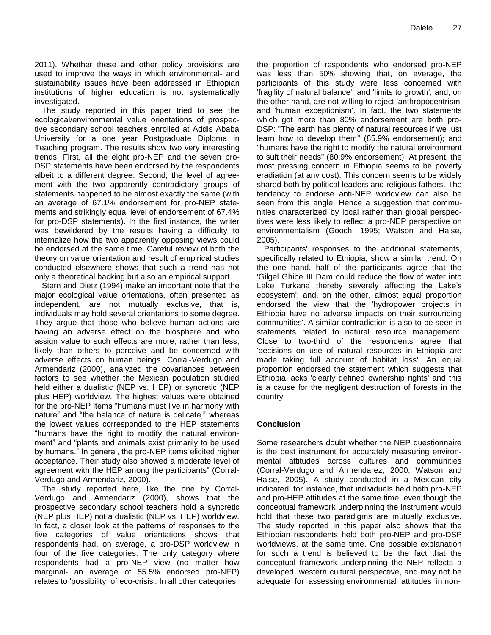2011). Whether these and other policy provisions are used to improve the ways in which environmental- and sustainability issues have been addressed in Ethiopian institutions of higher education is not systematically investigated.

The study reported in this paper tried to see the ecological/environmental value orientations of prospective secondary school teachers enrolled at Addis Ababa University for a one year Postgraduate Diploma in Teaching program. The results show two very interesting trends. First, all the eight pro-NEP and the seven pro-DSP statements have been endorsed by the respondents albeit to a different degree. Second, the level of agreement with the two apparently contradictory groups of statements happened to be almost exactly the same (with an average of 67.1% endorsement for pro-NEP statements and strikingly equal level of endorsement of 67.4% for pro-DSP statements). In the first instance, the writer was bewildered by the results having a difficulty to internalize how the two apparently opposing views could be endorsed at the same time. Careful review of both the theory on value orientation and result of empirical studies conducted elsewhere shows that such a trend has not only a theoretical backing but also an empirical support.

Stern and Dietz (1994) make an important note that the major ecological value orientations, often presented as independent, are not mutually exclusive, that is, individuals may hold several orientations to some degree. They argue that those who believe human actions are having an adverse effect on the biosphere and who assign value to such effects are more, rather than less, likely than others to perceive and be concerned with adverse effects on human beings. Corral-Verdugo and Armendariz (2000), analyzed the covariances between factors to see whether the Mexican population studied held either a dualistic (NEP vs. HEP) or syncretic (NEP plus HEP) worldview. The highest values were obtained for the pro-NEP items "humans must live in harmony with nature" and "the balance of nature is delicate," whereas the lowest values corresponded to the HEP statements "humans have the right to modify the natural environment" and "plants and animals exist primarily to be used by humans." In general, the pro-NEP items elicited higher acceptance. Their study also showed a moderate level of agreement with the HEP among the participants" (Corral-Verdugo and Armendariz, 2000).

The study reported here, like the one by Corral-Verdugo and Armendariz (2000), shows that the prospective secondary school teachers hold a syncretic (NEP plus HEP) not a dualistic (NEP vs. HEP) worldview. In fact, a closer look at the patterns of responses to the five categories of value orientations shows that respondents had, on average, a pro-DSP worldview in four of the five categories. The only category where respondents had a pro-NEP view (no matter how marginal- an average of 55.5% endorsed pro-NEP) relates to 'possibility of eco-crisis'. In all other categories,

the proportion of respondents who endorsed pro-NEP was less than 50% showing that, on average, the participants of this study were less concerned with 'fragility of natural balance', and 'limits to growth', and, on the other hand, are not willing to reject 'anthropocentrism' and 'human exceptionism'. In fact, the two statements which got more than 80% endorsement are both pro-DSP: "The earth has plenty of natural resources if we just learn how to develop them" (85.9% endorsement); and "humans have the right to modify the natural environment to suit their needs" (80.9% endorsement). At present, the most pressing concern in Ethiopia seems to be poverty eradiation (at any cost). This concern seems to be widely shared both by political leaders and religious fathers. The tendency to endorse anti-NEP worldview can also be seen from this angle. Hence a suggestion that communities characterized by local rather than global perspectives were less likely to reflect a pro-NEP perspective on environmentalism (Gooch, 1995; Watson and Halse, 2005).

Participants' responses to the additional statements, specifically related to Ethiopia, show a similar trend. On the one hand, half of the participants agree that the 'Gilgel Ghibe III Dam could reduce the flow of water into Lake Turkana thereby severely affecting the Lake's ecosystem'; and, on the other, almost equal proportion endorsed the view that the 'hydropower projects in Ethiopia have no adverse impacts on their surrounding communities'. A similar contradiction is also to be seen in statements related to natural resource management. Close to two-third of the respondents agree that 'decisions on use of natural resources in Ethiopia are made taking full account of habitat loss'. An equal proportion endorsed the statement which suggests that Ethiopia lacks 'clearly defined ownership rights' and this is a cause for the negligent destruction of forests in the country.

# **Conclusion**

Some researchers doubt whether the NEP questionnaire is the best instrument for accurately measuring environmental attitudes across cultures and communities (Corral-Verdugo and Armendarez, 2000; Watson and Halse, 2005). A study conducted in a Mexican city indicated, for instance, that individuals held both pro-NEP and pro-HEP attitudes at the same time, even though the conceptual framework underpinning the instrument would hold that these two paradigms are mutually exclusive. The study reported in this paper also shows that the Ethiopian respondents held both pro-NEP and pro-DSP worldviews, at the same time. One possible explanation for such a trend is believed to be the fact that the conceptual framework underpinning the NEP reflects a developed, western cultural perspective, and may not be adequate for assessing environmental attitudes in non